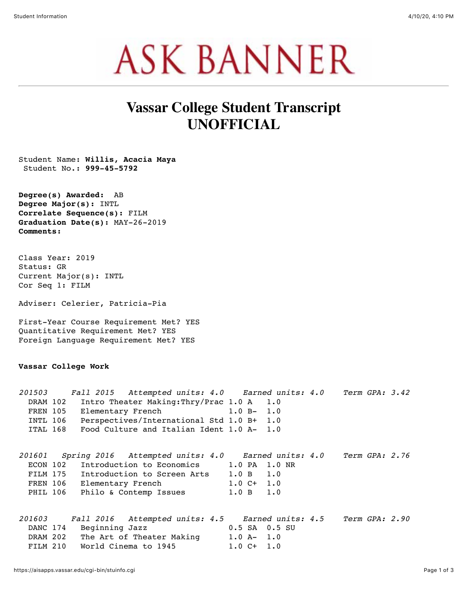## **ASK BANNER**

## **Vassar College Student Transcript UNOFFICIAL**

Student Name: **Willis, Acacia Maya**  Student No.: **999-45-5792**

**Degree(s) Awarded:** AB **Degree Major(s):** INTL **Correlate Sequence(s):** FILM **Graduation Date(s):** MAY-26-2019 **Comments:** 

Class Year: 2019 Status: GR Current Major(s): INTL Cor Seq 1: FILM

Adviser: Celerier, Patricia-Pia

First-Year Course Requirement Met? YES Quantitative Requirement Met? YES Foreign Language Requirement Met? YES

## **Vassar College Work**

| 201503<br>DRAM 102<br>FREN 105<br>INTL 106<br>ITAL 168 | Fall 2015 Attempted units: 4.0 Earned units: 4.0 Term GPA: 3.42<br>Intro Theater Making: Thry/Prac 1.0 A 1.0<br>Elementary French 1.0 B- 1.0<br>Perspectives/International Std 1.0 B+ 1.0<br>Food Culture and Italian Ident 1.0 A- 1.0                               |  |                |  |
|--------------------------------------------------------|----------------------------------------------------------------------------------------------------------------------------------------------------------------------------------------------------------------------------------------------------------------------|--|----------------|--|
|                                                        | 201601 Spring 2016 Attempted units: 4.0 Earned units: 4.0 Term GPA: 2.76<br>ECON 102 Introduction to Economics 1.0 PA 1.0 NR<br>FILM 175 Introduction to Screen Arts 1.0 B 1.0<br>FREN 106 Elementary French 1.0 C+ 1.0<br>PHIL 106 Philo & Contemp Issues 1.0 B 1.0 |  |                |  |
| 201603                                                 | Fall 2016 Attempted units: 4.5 Earned units: 4.5<br>DANC 174 Beginning Jazz 0.5 SA 0.5 SU<br>DRAM 202 The Art of Theater Making $1.0 A-1.0$<br>FILM 210 World Cinema to $1945$ 1.0 C+ 1.0                                                                            |  | Term GPA: 2.90 |  |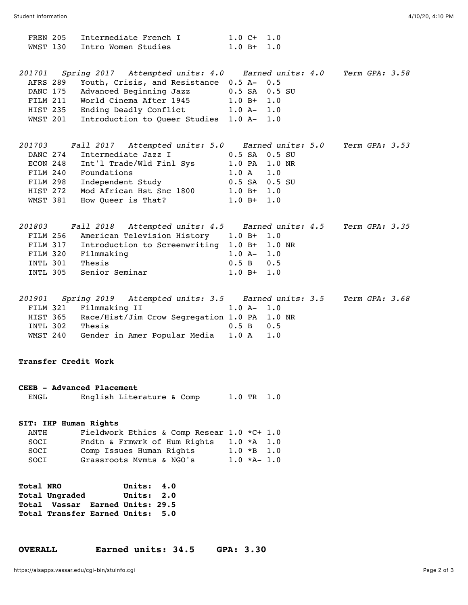|                                                                    | FREN 205<br>WMST 130                                                        | Intermediate French I 1.0 C+ 1.0<br>Intro Women Studies                                                                                                                                                                                                                | $1.0 B+ 1.0$                                       |     |  |  |
|--------------------------------------------------------------------|-----------------------------------------------------------------------------|------------------------------------------------------------------------------------------------------------------------------------------------------------------------------------------------------------------------------------------------------------------------|----------------------------------------------------|-----|--|--|
|                                                                    | AFRS 289<br>DANC 175<br>FILM 211<br>HIST 235<br><b>WMST 201</b>             | 201701 Spring 2017 Attempted units: 4.0 Earned units: 4.0 Term GPA: 3.58<br>Youth, Crisis, and Resistance 0.5 A- 0.5<br>Advanced Beginning Jazz<br>World Cinema After 1945 1.0 B+ 1.0<br>Ending Deadly Conflict 1.0 A- 1.0<br>Introduction to Queer Studies 1.0 A- 1.0 | $0.5$ SA $0.5$ SU                                  |     |  |  |
|                                                                    | DANC 274<br>ECON 248<br>FILM 240<br>FILM 298<br><b>HIST 272</b><br>WMST 381 | 201703 Fall 2017 Attempted units: 5.0 Earned units: 5.0 Term GPA: 3.53<br>Intermediate Jazz I<br>Int'l Trade/Wld Finl Sys<br>Foundations<br>Independent Study 0.5 SA 0.5 SU<br>Mod African Hst Snc 1800 1.0 B+ 1.0<br>How Queer is That?<br>$1.0 B+ 1.0$               | $0.5$ SA $0.5$ SU<br>1.0 PA 1.0 NR<br>1.0 A        | 1.0 |  |  |
|                                                                    | INTL 301                                                                    | 201803 Fall 2018 Attempted units: 4.5 Earned units: 4.5 Term GPA: 3.35<br>FILM 256 American Television History 1.0 B+ 1.0<br>FILM 317 Introduction to Screenwriting 1.0 B+ 1.0 NR<br>FILM 320 Filmmaking<br>Thesis<br>INTL 305 Senior Seminar                          | $1.0 A- 1.0$<br>0.5 B 0.5<br>$1.0 B+ 1.0$          |     |  |  |
|                                                                    | HIST 365<br><b>INTL 302</b>                                                 | 201901 Spring 2019 Attempted units: 3.5 Earned units: 3.5 Term GPA: 3.68<br>FILM 321 Filmmaking II<br>Race/Hist/Jim Crow Segregation 1.0 PA 1.0 NR<br>Thesis<br>WMST 240 Gender in Amer Popular Media 1.0 A 1.0                                                        | $1.0 A- 1.0$<br>0.5 B 0.5                          |     |  |  |
|                                                                    |                                                                             | Transfer Credit Work                                                                                                                                                                                                                                                   |                                                    |     |  |  |
| ENGL                                                               |                                                                             | CEEB - Advanced Placement<br>English Literature & Comp 1.0 TR 1.0                                                                                                                                                                                                      |                                                    |     |  |  |
| ANTH<br>SOCI<br>SOCI<br>SOCI<br>Total NRO<br><b>Total Ungraded</b> |                                                                             | SIT: IHP Human Rights<br>Fieldwork Ethics & Comp Resear 1.0 *C+ 1.0<br>Fndtn & Frmwrk of Hum Rights<br>Comp Issues Human Rights<br>Grassroots Mymts & NGO's<br>Units: 4.0<br>Units: 2.0<br>Total Vassar Earned Units: 29.5<br>Total Transfer Earned Units: 5.0         | $1.0$ *A $1.0$<br>$1.0 * B 1.0$<br>$1.0 * A - 1.0$ |     |  |  |

**OVERALL Earned units: 34.5 GPA: 3.30**